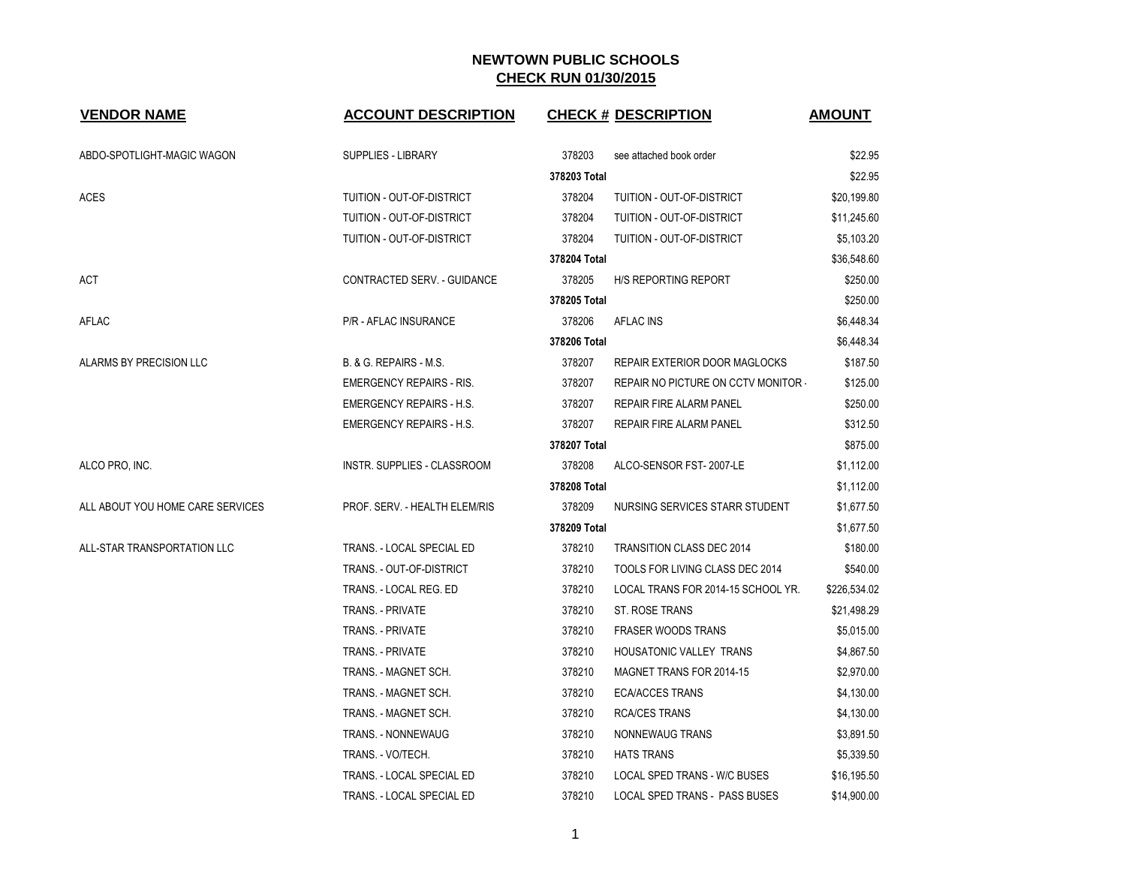| <b>VENDOR NAME</b>               | <b>ACCOUNT DESCRIPTION</b>      |              | <b>CHECK # DESCRIPTION</b>           | <b>AMOUNT</b> |
|----------------------------------|---------------------------------|--------------|--------------------------------------|---------------|
| ABDO-SPOTLIGHT-MAGIC WAGON       | <b>SUPPLIES - LIBRARY</b>       | 378203       | see attached book order              | \$22.95       |
|                                  |                                 | 378203 Total |                                      | \$22.95       |
| <b>ACES</b>                      | TUITION - OUT-OF-DISTRICT       | 378204       | TUITION - OUT-OF-DISTRICT            | \$20,199.80   |
|                                  | TUITION - OUT-OF-DISTRICT       | 378204       | TUITION - OUT-OF-DISTRICT            | \$11,245.60   |
|                                  | TUITION - OUT-OF-DISTRICT       | 378204       | TUITION - OUT-OF-DISTRICT            | \$5,103.20    |
|                                  |                                 | 378204 Total |                                      | \$36,548.60   |
| ACT                              | CONTRACTED SERV. - GUIDANCE     | 378205       | <b>H/S REPORTING REPORT</b>          | \$250.00      |
|                                  |                                 | 378205 Total |                                      | \$250.00      |
| AFLAC                            | P/R - AFLAC INSURANCE           | 378206       | AFLAC INS                            | \$6,448.34    |
|                                  |                                 | 378206 Total |                                      | \$6,448.34    |
| ALARMS BY PRECISION LLC          | B. & G. REPAIRS - M.S.          | 378207       | <b>REPAIR EXTERIOR DOOR MAGLOCKS</b> | \$187.50      |
|                                  | <b>EMERGENCY REPAIRS - RIS.</b> | 378207       | REPAIR NO PICTURE ON CCTV MONITOR    | \$125.00      |
|                                  | <b>EMERGENCY REPAIRS - H.S.</b> | 378207       | REPAIR FIRE ALARM PANEL              | \$250.00      |
|                                  | <b>EMERGENCY REPAIRS - H.S.</b> | 378207       | REPAIR FIRE ALARM PANEL              | \$312.50      |
|                                  |                                 | 378207 Total |                                      | \$875.00      |
| ALCO PRO, INC.                   | INSTR. SUPPLIES - CLASSROOM     | 378208       | ALCO-SENSOR FST-2007-LE              | \$1,112.00    |
|                                  |                                 | 378208 Total |                                      | \$1,112.00    |
| ALL ABOUT YOU HOME CARE SERVICES | PROF. SERV. - HEALTH ELEM/RIS   | 378209       | NURSING SERVICES STARR STUDENT       | \$1,677.50    |
|                                  |                                 | 378209 Total |                                      | \$1,677.50    |
| ALL-STAR TRANSPORTATION LLC      | TRANS. - LOCAL SPECIAL ED       | 378210       | <b>TRANSITION CLASS DEC 2014</b>     | \$180.00      |
|                                  | TRANS. - OUT-OF-DISTRICT        | 378210       | TOOLS FOR LIVING CLASS DEC 2014      | \$540.00      |
|                                  | TRANS. - LOCAL REG. ED          | 378210       | LOCAL TRANS FOR 2014-15 SCHOOL YR.   | \$226,534.02  |
|                                  | <b>TRANS. - PRIVATE</b>         | 378210       | ST. ROSE TRANS                       | \$21,498.29   |
|                                  | TRANS. - PRIVATE                | 378210       | <b>FRASER WOODS TRANS</b>            | \$5,015.00    |
|                                  | <b>TRANS. - PRIVATE</b>         | 378210       | HOUSATONIC VALLEY TRANS              | \$4,867.50    |
|                                  | TRANS. - MAGNET SCH.            | 378210       | MAGNET TRANS FOR 2014-15             | \$2,970.00    |
|                                  | TRANS. - MAGNET SCH.            | 378210       | <b>ECA/ACCES TRANS</b>               | \$4,130.00    |
|                                  | TRANS. - MAGNET SCH.            | 378210       | <b>RCA/CES TRANS</b>                 | \$4,130.00    |
|                                  | TRANS. - NONNEWAUG              | 378210       | NONNEWAUG TRANS                      | \$3,891.50    |
|                                  | TRANS. - VO/TECH.               | 378210       | <b>HATS TRANS</b>                    | \$5,339.50    |
|                                  | TRANS. - LOCAL SPECIAL ED       | 378210       | <b>LOCAL SPED TRANS - W/C BUSES</b>  | \$16,195.50   |
|                                  | TRANS. - LOCAL SPECIAL ED       | 378210       | LOCAL SPED TRANS - PASS BUSES        | \$14,900.00   |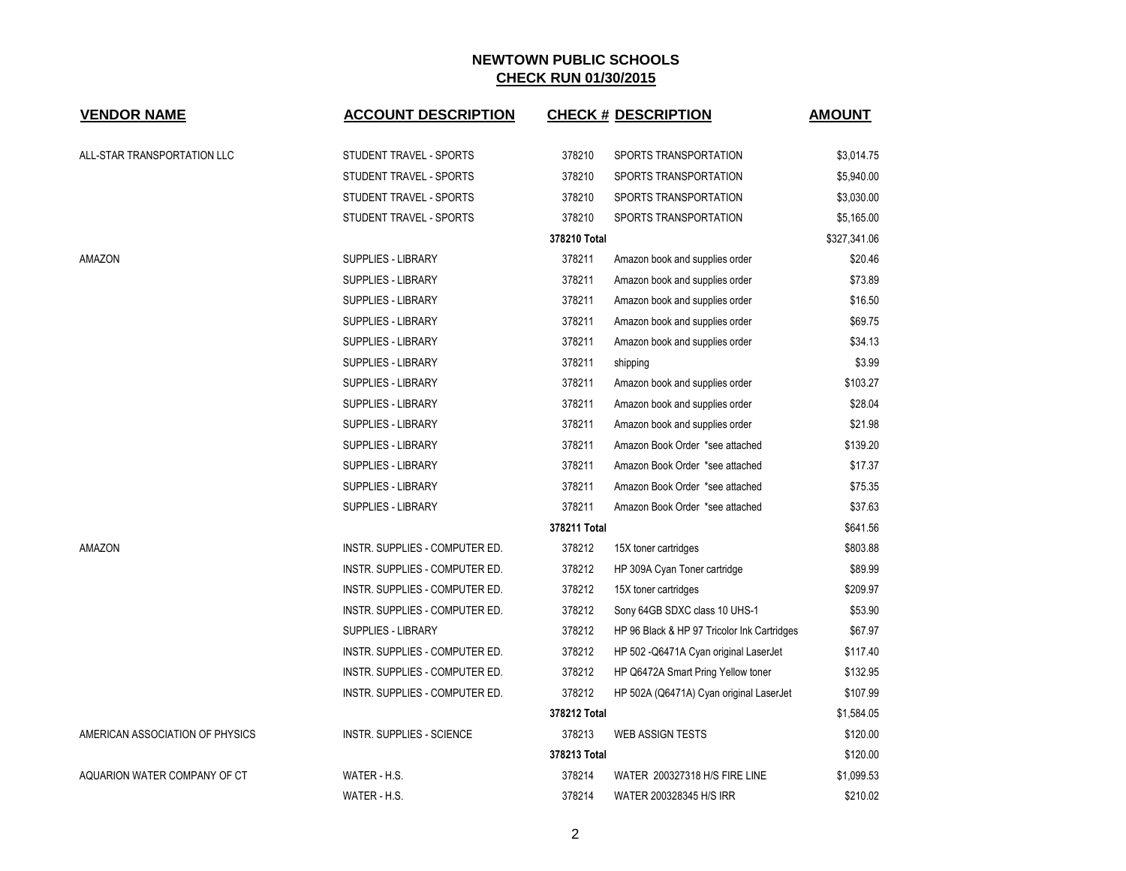| <b>VENDOR NAME</b>              | <b>ACCOUNT DESCRIPTION</b>     |              | <b>CHECK # DESCRIPTION</b>                  | <u>AMOUNT</u> |
|---------------------------------|--------------------------------|--------------|---------------------------------------------|---------------|
|                                 |                                |              |                                             |               |
| ALL-STAR TRANSPORTATION LLC     | STUDENT TRAVEL - SPORTS        | 378210       | SPORTS TRANSPORTATION                       | \$3,014.75    |
|                                 | STUDENT TRAVEL - SPORTS        | 378210       | SPORTS TRANSPORTATION                       | \$5,940.00    |
|                                 | STUDENT TRAVEL - SPORTS        | 378210       | SPORTS TRANSPORTATION                       | \$3,030.00    |
|                                 | STUDENT TRAVEL - SPORTS        | 378210       | SPORTS TRANSPORTATION                       | \$5,165.00    |
|                                 |                                | 378210 Total |                                             | \$327,341.06  |
| AMAZON                          | SUPPLIES - LIBRARY             | 378211       | Amazon book and supplies order              | \$20.46       |
|                                 | <b>SUPPLIES - LIBRARY</b>      | 378211       | Amazon book and supplies order              | \$73.89       |
|                                 | SUPPLIES - LIBRARY             | 378211       | Amazon book and supplies order              | \$16.50       |
|                                 | SUPPLIES - LIBRARY             | 378211       | Amazon book and supplies order              | \$69.75       |
|                                 | SUPPLIES - LIBRARY             | 378211       | Amazon book and supplies order              | \$34.13       |
|                                 | SUPPLIES - LIBRARY             | 378211       | shipping                                    | \$3.99        |
|                                 | <b>SUPPLIES - LIBRARY</b>      | 378211       | Amazon book and supplies order              | \$103.27      |
|                                 | SUPPLIES - LIBRARY             | 378211       | Amazon book and supplies order              | \$28.04       |
|                                 | <b>SUPPLIES - LIBRARY</b>      | 378211       | Amazon book and supplies order              | \$21.98       |
|                                 | SUPPLIES - LIBRARY             | 378211       | Amazon Book Order *see attached             | \$139.20      |
|                                 | SUPPLIES - LIBRARY             | 378211       | Amazon Book Order *see attached             | \$17.37       |
|                                 | <b>SUPPLIES - LIBRARY</b>      | 378211       | Amazon Book Order *see attached             | \$75.35       |
|                                 | SUPPLIES - LIBRARY             | 378211       | Amazon Book Order *see attached             | \$37.63       |
|                                 |                                | 378211 Total |                                             | \$641.56      |
| AMAZON                          | INSTR. SUPPLIES - COMPUTER ED. | 378212       | 15X toner cartridges                        | \$803.88      |
|                                 | INSTR. SUPPLIES - COMPUTER ED. | 378212       | HP 309A Cyan Toner cartridge                | \$89.99       |
|                                 | INSTR. SUPPLIES - COMPUTER ED. | 378212       | 15X toner cartridges                        | \$209.97      |
|                                 | INSTR. SUPPLIES - COMPUTER ED. | 378212       | Sony 64GB SDXC class 10 UHS-1               | \$53.90       |
|                                 | <b>SUPPLIES - LIBRARY</b>      | 378212       | HP 96 Black & HP 97 Tricolor Ink Cartridges | \$67.97       |
|                                 | INSTR. SUPPLIES - COMPUTER ED. | 378212       | HP 502 - Q6471A Cyan original LaserJet      | \$117.40      |
|                                 | INSTR. SUPPLIES - COMPUTER ED. | 378212       | HP Q6472A Smart Pring Yellow toner          | \$132.95      |
|                                 | INSTR. SUPPLIES - COMPUTER ED. | 378212       | HP 502A (Q6471A) Cyan original LaserJet     | \$107.99      |
|                                 |                                | 378212 Total |                                             | \$1,584.05    |
| AMERICAN ASSOCIATION OF PHYSICS | INSTR. SUPPLIES - SCIENCE      | 378213       | <b>WEB ASSIGN TESTS</b>                     | \$120.00      |
|                                 |                                | 378213 Total |                                             | \$120.00      |
| AQUARION WATER COMPANY OF CT    | WATER - H.S.                   | 378214       | WATER 200327318 H/S FIRE LINE               | \$1,099.53    |
|                                 | WATER - H.S.                   | 378214       | WATER 200328345 H/S IRR                     | \$210.02      |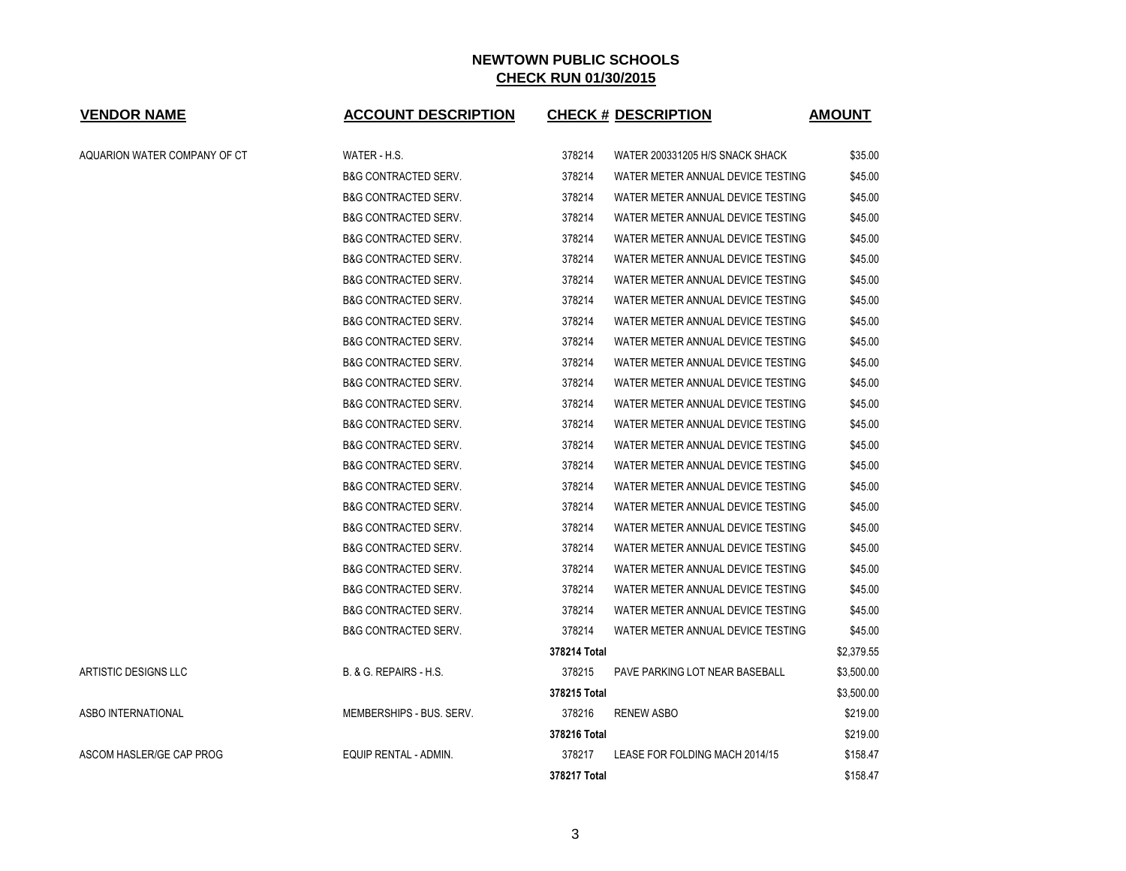| <b>VENDOR NAME</b>           | <b>ACCOUNT DESCRIPTION</b>      | <b>CHECK # DESCRIPTION</b>                  | <b>AMOUNT</b> |
|------------------------------|---------------------------------|---------------------------------------------|---------------|
| AQUARION WATER COMPANY OF CT | WATER - H.S.                    | 378214<br>WATER 200331205 H/S SNACK SHACK   | \$35.00       |
|                              | <b>B&amp;G CONTRACTED SERV.</b> | 378214<br>WATER METER ANNUAL DEVICE TESTING | \$45.00       |
|                              | <b>B&amp;G CONTRACTED SERV.</b> | 378214<br>WATER METER ANNUAL DEVICE TESTING | \$45.00       |
|                              | <b>B&amp;G CONTRACTED SERV.</b> | 378214<br>WATER METER ANNUAL DEVICE TESTING | \$45.00       |
|                              | <b>B&amp;G CONTRACTED SERV.</b> | 378214<br>WATER METER ANNUAL DEVICE TESTING | \$45.00       |
|                              | <b>B&amp;G CONTRACTED SERV.</b> | 378214<br>WATER METER ANNUAL DEVICE TESTING | \$45.00       |
|                              | <b>B&amp;G CONTRACTED SERV.</b> | 378214<br>WATER METER ANNUAL DEVICE TESTING | \$45.00       |
|                              | <b>B&amp;G CONTRACTED SERV.</b> | 378214<br>WATER METER ANNUAL DEVICE TESTING | \$45.00       |
|                              | <b>B&amp;G CONTRACTED SERV.</b> | 378214<br>WATER METER ANNUAL DEVICE TESTING | \$45.00       |
|                              | <b>B&amp;G CONTRACTED SERV.</b> | 378214<br>WATER METER ANNUAL DEVICE TESTING | \$45.00       |
|                              | <b>B&amp;G CONTRACTED SERV.</b> | 378214<br>WATER METER ANNUAL DEVICE TESTING | \$45.00       |
|                              | <b>B&amp;G CONTRACTED SERV.</b> | 378214<br>WATER METER ANNUAL DEVICE TESTING | \$45.00       |
|                              | <b>B&amp;G CONTRACTED SERV.</b> | 378214<br>WATER METER ANNUAL DEVICE TESTING | \$45.00       |
|                              | <b>B&amp;G CONTRACTED SERV.</b> | 378214<br>WATER METER ANNUAL DEVICE TESTING | \$45.00       |
|                              | <b>B&amp;G CONTRACTED SERV.</b> | 378214<br>WATER METER ANNUAL DEVICE TESTING | \$45.00       |
|                              | <b>B&amp;G CONTRACTED SERV.</b> | 378214<br>WATER METER ANNUAL DEVICE TESTING | \$45.00       |
|                              | <b>B&amp;G CONTRACTED SERV.</b> | 378214<br>WATER METER ANNUAL DEVICE TESTING | \$45.00       |
|                              | <b>B&amp;G CONTRACTED SERV.</b> | 378214<br>WATER METER ANNUAL DEVICE TESTING | \$45.00       |
|                              | <b>B&amp;G CONTRACTED SERV.</b> | 378214<br>WATER METER ANNUAL DEVICE TESTING | \$45.00       |
|                              | <b>B&amp;G CONTRACTED SERV.</b> | 378214<br>WATER METER ANNUAL DEVICE TESTING | \$45.00       |
|                              | <b>B&amp;G CONTRACTED SERV.</b> | 378214<br>WATER METER ANNUAL DEVICE TESTING | \$45.00       |
|                              | <b>B&amp;G CONTRACTED SERV.</b> | 378214<br>WATER METER ANNUAL DEVICE TESTING | \$45.00       |
|                              | <b>B&amp;G CONTRACTED SERV.</b> | 378214<br>WATER METER ANNUAL DEVICE TESTING | \$45.00       |
|                              | <b>B&amp;G CONTRACTED SERV.</b> | 378214<br>WATER METER ANNUAL DEVICE TESTING | \$45.00       |
|                              |                                 | 378214 Total                                | \$2,379.55    |
| <b>ARTISTIC DESIGNS LLC</b>  | B. & G. REPAIRS - H.S.          | 378215<br>PAVE PARKING LOT NEAR BASEBALL    | \$3,500.00    |
|                              |                                 | 378215 Total                                | \$3,500.00    |
| ASBO INTERNATIONAL           | MEMBERSHIPS - BUS. SERV.        | 378216<br><b>RENEW ASBO</b>                 | \$219.00      |
|                              |                                 | 378216 Total                                | \$219.00      |
| ASCOM HASLER/GE CAP PROG     | EQUIP RENTAL - ADMIN.           | 378217<br>LEASE FOR FOLDING MACH 2014/15    | \$158.47      |
|                              |                                 | 378217 Total                                | \$158.47      |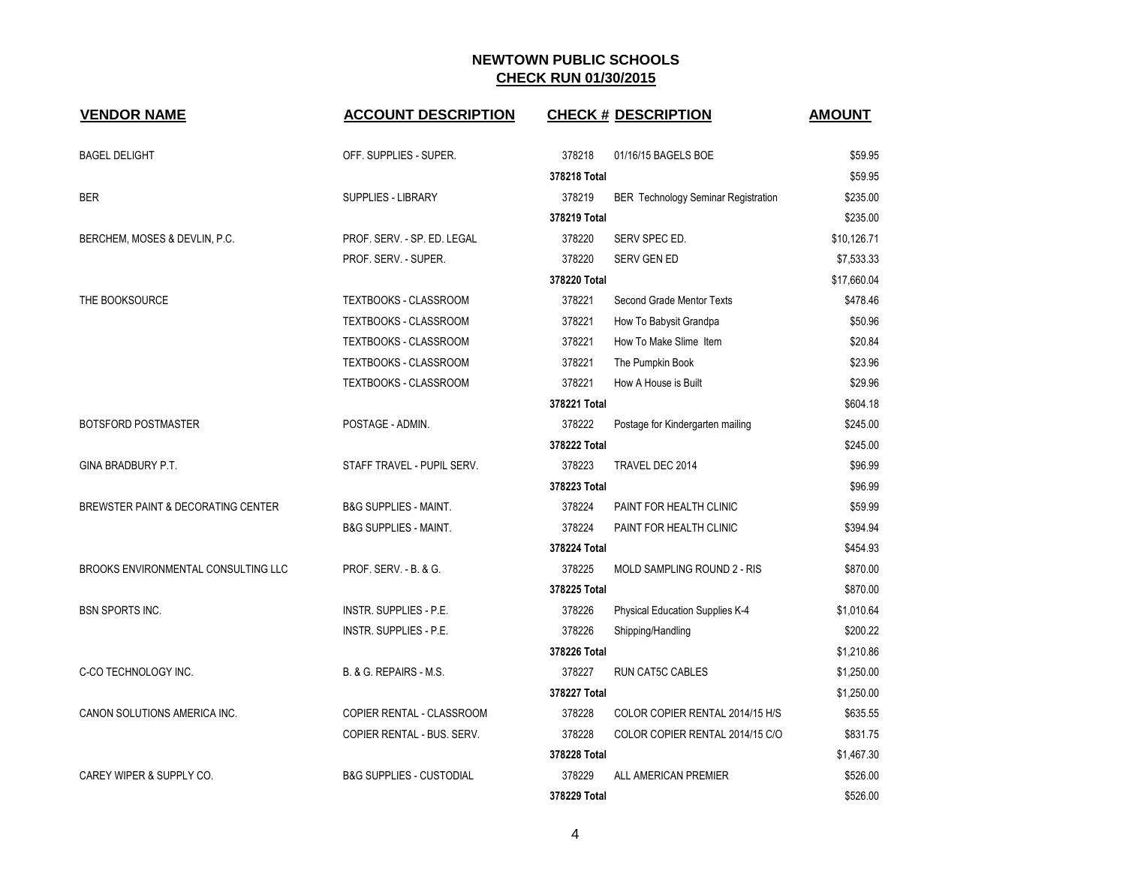| <b>VENDOR NAME</b>                  | <b>ACCOUNT DESCRIPTION</b>          |              | <b>CHECK # DESCRIPTION</b>                 | <b>AMOUNT</b> |
|-------------------------------------|-------------------------------------|--------------|--------------------------------------------|---------------|
| <b>BAGEL DELIGHT</b>                | OFF. SUPPLIES - SUPER.              | 378218       | 01/16/15 BAGELS BOE                        | \$59.95       |
|                                     |                                     | 378218 Total |                                            | \$59.95       |
| <b>BER</b>                          | <b>SUPPLIES - LIBRARY</b>           | 378219       | <b>BER Technology Seminar Registration</b> | \$235.00      |
|                                     |                                     | 378219 Total |                                            | \$235.00      |
| BERCHEM, MOSES & DEVLIN, P.C.       | PROF. SERV. - SP. ED. LEGAL         | 378220       | SERV SPEC ED.                              | \$10,126.71   |
|                                     | PROF. SERV. - SUPER.                | 378220       | <b>SERV GEN ED</b>                         | \$7,533.33    |
|                                     |                                     | 378220 Total |                                            | \$17,660.04   |
| THE BOOKSOURCE                      | <b>TEXTBOOKS - CLASSROOM</b>        | 378221       | Second Grade Mentor Texts                  | \$478.46      |
|                                     | TEXTBOOKS - CLASSROOM               | 378221       | How To Babysit Grandpa                     | \$50.96       |
|                                     | TEXTBOOKS - CLASSROOM               | 378221       | How To Make Slime Item                     | \$20.84       |
|                                     | <b>TEXTBOOKS - CLASSROOM</b>        | 378221       | The Pumpkin Book                           | \$23.96       |
|                                     | TEXTBOOKS - CLASSROOM               | 378221       | How A House is Built                       | \$29.96       |
|                                     |                                     | 378221 Total |                                            | \$604.18      |
| BOTSFORD POSTMASTER                 | POSTAGE - ADMIN.                    | 378222       | Postage for Kindergarten mailing           | \$245.00      |
|                                     |                                     | 378222 Total |                                            | \$245.00      |
| GINA BRADBURY P.T.                  | STAFF TRAVEL - PUPIL SERV.          | 378223       | TRAVEL DEC 2014                            | \$96.99       |
|                                     |                                     | 378223 Total |                                            | \$96.99       |
| BREWSTER PAINT & DECORATING CENTER  | <b>B&amp;G SUPPLIES - MAINT.</b>    | 378224       | PAINT FOR HEALTH CLINIC                    | \$59.99       |
|                                     | <b>B&amp;G SUPPLIES - MAINT.</b>    | 378224       | PAINT FOR HEALTH CLINIC                    | \$394.94      |
|                                     |                                     | 378224 Total |                                            | \$454.93      |
| BROOKS ENVIRONMENTAL CONSULTING LLC | PROF. SERV. - B. & G.               | 378225       | MOLD SAMPLING ROUND 2 - RIS                | \$870.00      |
|                                     |                                     | 378225 Total |                                            | \$870.00      |
| <b>BSN SPORTS INC.</b>              | INSTR. SUPPLIES - P.E.              | 378226       | Physical Education Supplies K-4            | \$1,010.64    |
|                                     | INSTR. SUPPLIES - P.E.              | 378226       | Shipping/Handling                          | \$200.22      |
|                                     |                                     | 378226 Total |                                            | \$1,210.86    |
| C-CO TECHNOLOGY INC.                | B. & G. REPAIRS - M.S.              | 378227       | <b>RUN CAT5C CABLES</b>                    | \$1,250.00    |
|                                     |                                     | 378227 Total |                                            | \$1,250.00    |
| CANON SOLUTIONS AMERICA INC.        | COPIER RENTAL - CLASSROOM           | 378228       | COLOR COPIER RENTAL 2014/15 H/S            | \$635.55      |
|                                     | COPIER RENTAL - BUS. SERV.          | 378228       | COLOR COPIER RENTAL 2014/15 C/O            | \$831.75      |
|                                     |                                     | 378228 Total |                                            | \$1,467.30    |
| CAREY WIPER & SUPPLY CO.            | <b>B&amp;G SUPPLIES - CUSTODIAL</b> | 378229       | ALL AMERICAN PREMIER                       | \$526.00      |
|                                     |                                     | 378229 Total |                                            | \$526.00      |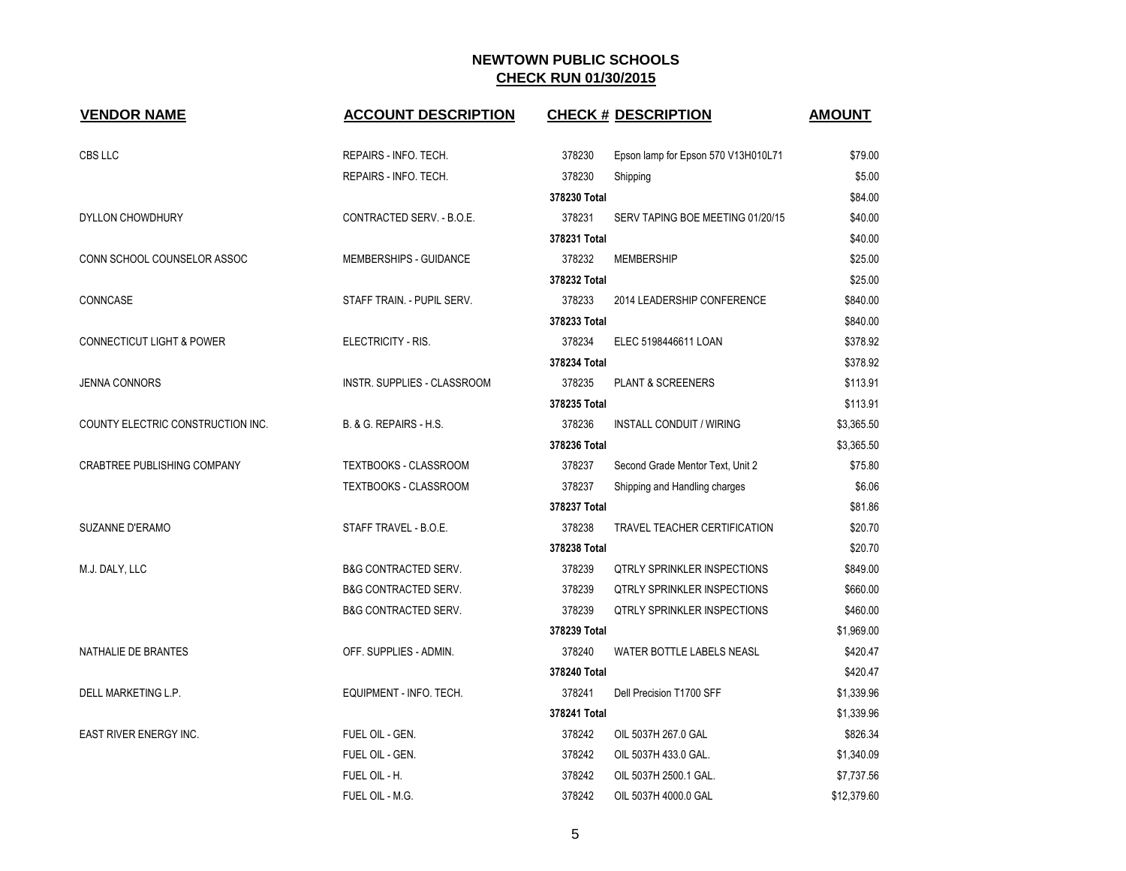| <b>VENDOR NAME</b>                   | <b>ACCOUNT DESCRIPTION</b>      |              | <b>CHECK # DESCRIPTION</b>          | <b>AMOUNT</b> |
|--------------------------------------|---------------------------------|--------------|-------------------------------------|---------------|
| CBS LLC                              | REPAIRS - INFO. TECH.           | 378230       | Epson lamp for Epson 570 V13H010L71 | \$79.00       |
|                                      | REPAIRS - INFO. TECH.           | 378230       | Shipping                            | \$5.00        |
|                                      |                                 | 378230 Total |                                     | \$84.00       |
| DYLLON CHOWDHURY                     | CONTRACTED SERV. - B.O.E.       | 378231       | SERV TAPING BOE MEETING 01/20/15    | \$40.00       |
|                                      |                                 | 378231 Total |                                     | \$40.00       |
| CONN SCHOOL COUNSELOR ASSOC          | MEMBERSHIPS - GUIDANCE          | 378232       | <b>MEMBERSHIP</b>                   | \$25.00       |
|                                      |                                 | 378232 Total |                                     | \$25.00       |
| CONNCASE                             | STAFF TRAIN. - PUPIL SERV.      | 378233       | 2014 LEADERSHIP CONFERENCE          | \$840.00      |
|                                      |                                 | 378233 Total |                                     | \$840.00      |
| <b>CONNECTICUT LIGHT &amp; POWER</b> | ELECTRICITY - RIS.              | 378234       | ELEC 5198446611 LOAN                | \$378.92      |
|                                      |                                 | 378234 Total |                                     | \$378.92      |
| <b>JENNA CONNORS</b>                 | INSTR. SUPPLIES - CLASSROOM     | 378235       | PLANT & SCREENERS                   | \$113.91      |
|                                      |                                 | 378235 Total |                                     | \$113.91      |
| COUNTY ELECTRIC CONSTRUCTION INC.    | B. & G. REPAIRS - H.S.          | 378236       | <b>INSTALL CONDUIT / WIRING</b>     | \$3,365.50    |
|                                      |                                 | 378236 Total |                                     | \$3,365.50    |
| <b>CRABTREE PUBLISHING COMPANY</b>   | <b>TEXTBOOKS - CLASSROOM</b>    | 378237       | Second Grade Mentor Text, Unit 2    | \$75.80       |
|                                      | <b>TEXTBOOKS - CLASSROOM</b>    | 378237       | Shipping and Handling charges       | \$6.06        |
|                                      |                                 | 378237 Total |                                     | \$81.86       |
| SUZANNE D'ERAMO                      | STAFF TRAVEL - B.O.E.           | 378238       | TRAVEL TEACHER CERTIFICATION        | \$20.70       |
|                                      |                                 | 378238 Total |                                     | \$20.70       |
| M.J. DALY, LLC                       | <b>B&amp;G CONTRACTED SERV.</b> | 378239       | <b>QTRLY SPRINKLER INSPECTIONS</b>  | \$849.00      |
|                                      | <b>B&amp;G CONTRACTED SERV.</b> | 378239       | <b>QTRLY SPRINKLER INSPECTIONS</b>  | \$660.00      |
|                                      | <b>B&amp;G CONTRACTED SERV.</b> | 378239       | <b>QTRLY SPRINKLER INSPECTIONS</b>  | \$460.00      |
|                                      |                                 | 378239 Total |                                     | \$1,969.00    |
| NATHALIE DE BRANTES                  | OFF. SUPPLIES - ADMIN.          | 378240       | WATER BOTTLE LABELS NEASL           | \$420.47      |
|                                      |                                 | 378240 Total |                                     | \$420.47      |
| DELL MARKETING L.P.                  | EQUIPMENT - INFO. TECH.         | 378241       | Dell Precision T1700 SFF            | \$1,339.96    |
|                                      |                                 | 378241 Total |                                     | \$1,339.96    |
| <b>EAST RIVER ENERGY INC.</b>        | FUEL OIL - GEN.                 | 378242       | OIL 5037H 267.0 GAL                 | \$826.34      |
|                                      | FUEL OIL - GEN.                 | 378242       | OIL 5037H 433.0 GAL.                | \$1,340.09    |
|                                      | FUEL OIL - H.                   | 378242       | OIL 5037H 2500.1 GAL.               | \$7,737.56    |
|                                      | FUEL OIL - M.G.                 | 378242       | OIL 5037H 4000.0 GAL                | \$12,379.60   |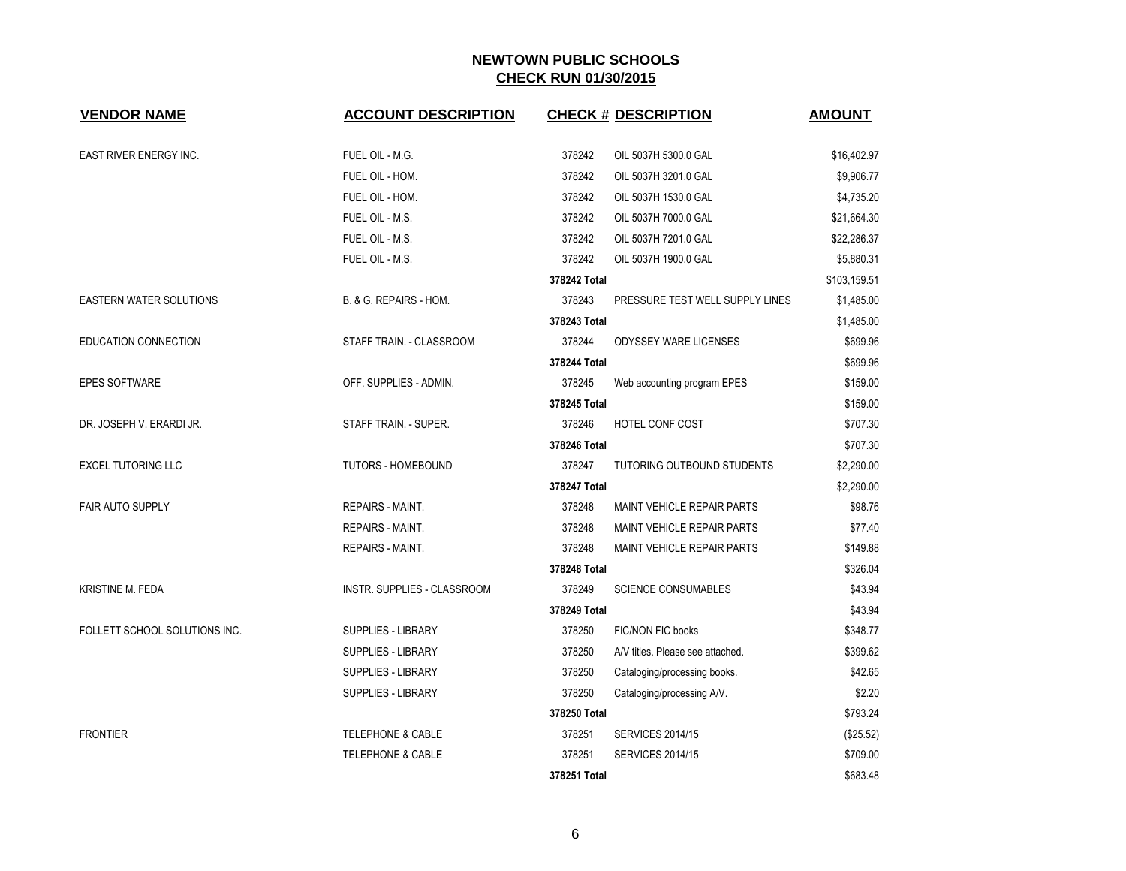| <b>VENDOR NAME</b>             | <b>ACCOUNT DESCRIPTION</b>   |              | <b>CHECK # DESCRIPTION</b>        | <b>AMOUNT</b> |
|--------------------------------|------------------------------|--------------|-----------------------------------|---------------|
|                                |                              |              |                                   |               |
| EAST RIVER ENERGY INC.         | FUEL OIL - M.G.              | 378242       | OIL 5037H 5300.0 GAL              | \$16,402.97   |
|                                | FUEL OIL - HOM.              | 378242       | OIL 5037H 3201.0 GAL              | \$9,906.77    |
|                                | FUEL OIL - HOM.              | 378242       | OIL 5037H 1530.0 GAL              | \$4,735.20    |
|                                | FUEL OIL - M.S.              | 378242       | OIL 5037H 7000.0 GAL              | \$21,664.30   |
|                                | FUEL OIL - M.S.              | 378242       | OIL 5037H 7201.0 GAL              | \$22,286.37   |
|                                | FUEL OIL - M.S.              | 378242       | OIL 5037H 1900.0 GAL              | \$5,880.31    |
|                                |                              | 378242 Total |                                   | \$103,159.51  |
| <b>EASTERN WATER SOLUTIONS</b> | B. & G. REPAIRS - HOM.       | 378243       | PRESSURE TEST WELL SUPPLY LINES   | \$1,485.00    |
|                                |                              | 378243 Total |                                   | \$1,485.00    |
| EDUCATION CONNECTION           | STAFF TRAIN. - CLASSROOM     | 378244       | <b>ODYSSEY WARE LICENSES</b>      | \$699.96      |
|                                |                              | 378244 Total |                                   | \$699.96      |
| EPES SOFTWARE                  | OFF. SUPPLIES - ADMIN.       | 378245       | Web accounting program EPES       | \$159.00      |
|                                |                              | 378245 Total |                                   | \$159.00      |
| DR. JOSEPH V. ERARDI JR.       | STAFF TRAIN. - SUPER.        | 378246       | HOTEL CONF COST                   | \$707.30      |
|                                |                              | 378246 Total |                                   | \$707.30      |
| <b>EXCEL TUTORING LLC</b>      | <b>TUTORS - HOMEBOUND</b>    | 378247       | TUTORING OUTBOUND STUDENTS        | \$2,290.00    |
|                                |                              | 378247 Total |                                   | \$2,290.00    |
| <b>FAIR AUTO SUPPLY</b>        | REPAIRS - MAINT.             | 378248       | MAINT VEHICLE REPAIR PARTS        | \$98.76       |
|                                | <b>REPAIRS - MAINT.</b>      | 378248       | MAINT VEHICLE REPAIR PARTS        | \$77.40       |
|                                | <b>REPAIRS - MAINT.</b>      | 378248       | <b>MAINT VEHICLE REPAIR PARTS</b> | \$149.88      |
|                                |                              | 378248 Total |                                   | \$326.04      |
| KRISTINE M. FEDA               | INSTR. SUPPLIES - CLASSROOM  | 378249       | <b>SCIENCE CONSUMABLES</b>        | \$43.94       |
|                                |                              | 378249 Total |                                   | \$43.94       |
| FOLLETT SCHOOL SOLUTIONS INC.  | SUPPLIES - LIBRARY           | 378250       | <b>FIC/NON FIC books</b>          | \$348.77      |
|                                | <b>SUPPLIES - LIBRARY</b>    | 378250       | A/V titles. Please see attached.  | \$399.62      |
|                                | <b>SUPPLIES - LIBRARY</b>    | 378250       | Cataloging/processing books.      | \$42.65       |
|                                | <b>SUPPLIES - LIBRARY</b>    | 378250       | Cataloging/processing A/V.        | \$2.20        |
|                                |                              | 378250 Total |                                   | \$793.24      |
| <b>FRONTIER</b>                | <b>TELEPHONE &amp; CABLE</b> | 378251       | <b>SERVICES 2014/15</b>           | (\$25.52)     |
|                                | <b>TELEPHONE &amp; CABLE</b> | 378251       | <b>SERVICES 2014/15</b>           | \$709.00      |
|                                |                              | 378251 Total |                                   | \$683.48      |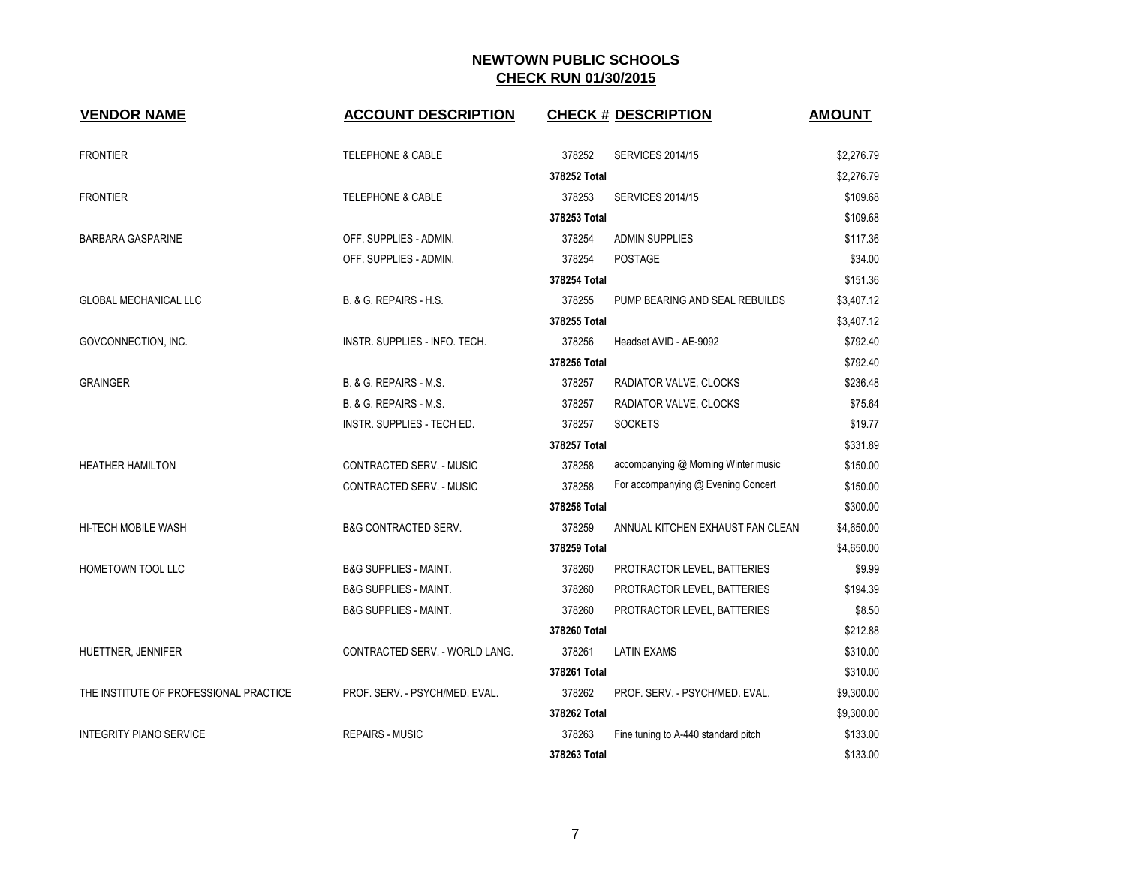| <b>VENDOR NAME</b>                     | <b>ACCOUNT DESCRIPTION</b>       |              | <b>CHECK # DESCRIPTION</b>          | <b>AMOUNT</b> |
|----------------------------------------|----------------------------------|--------------|-------------------------------------|---------------|
| <b>FRONTIER</b>                        | <b>TELEPHONE &amp; CABLE</b>     | 378252       | <b>SERVICES 2014/15</b>             | \$2,276.79    |
|                                        |                                  | 378252 Total |                                     | \$2,276.79    |
| <b>FRONTIER</b>                        | <b>TELEPHONE &amp; CABLE</b>     | 378253       | <b>SERVICES 2014/15</b>             | \$109.68      |
|                                        |                                  | 378253 Total |                                     | \$109.68      |
| <b>BARBARA GASPARINE</b>               | OFF. SUPPLIES - ADMIN.           | 378254       | <b>ADMIN SUPPLIES</b>               | \$117.36      |
|                                        | OFF. SUPPLIES - ADMIN.           | 378254       | <b>POSTAGE</b>                      | \$34.00       |
|                                        |                                  | 378254 Total |                                     | \$151.36      |
| <b>GLOBAL MECHANICAL LLC</b>           | B. & G. REPAIRS - H.S.           | 378255       | PUMP BEARING AND SEAL REBUILDS      | \$3,407.12    |
|                                        |                                  | 378255 Total |                                     | \$3,407.12    |
| GOVCONNECTION, INC.                    | INSTR. SUPPLIES - INFO. TECH.    | 378256       | Headset AVID - AE-9092              | \$792.40      |
|                                        |                                  | 378256 Total |                                     | \$792.40      |
| <b>GRAINGER</b>                        | B. & G. REPAIRS - M.S.           | 378257       | RADIATOR VALVE, CLOCKS              | \$236.48      |
|                                        | B. & G. REPAIRS - M.S.           | 378257       | RADIATOR VALVE, CLOCKS              | \$75.64       |
|                                        | INSTR. SUPPLIES - TECH ED.       | 378257       | <b>SOCKETS</b>                      | \$19.77       |
|                                        |                                  | 378257 Total |                                     | \$331.89      |
| <b>HEATHER HAMILTON</b>                | CONTRACTED SERV. - MUSIC         | 378258       | accompanying @ Morning Winter music | \$150.00      |
|                                        | CONTRACTED SERV. - MUSIC         | 378258       | For accompanying @ Evening Concert  | \$150.00      |
|                                        |                                  | 378258 Total |                                     | \$300.00      |
| HI-TECH MOBILE WASH                    | <b>B&amp;G CONTRACTED SERV.</b>  | 378259       | ANNUAL KITCHEN EXHAUST FAN CLEAN    | \$4,650.00    |
|                                        |                                  | 378259 Total |                                     | \$4,650.00    |
| HOMETOWN TOOL LLC                      | <b>B&amp;G SUPPLIES - MAINT.</b> | 378260       | PROTRACTOR LEVEL, BATTERIES         | \$9.99        |
|                                        | <b>B&amp;G SUPPLIES - MAINT.</b> | 378260       | PROTRACTOR LEVEL, BATTERIES         | \$194.39      |
|                                        | <b>B&amp;G SUPPLIES - MAINT.</b> | 378260       | PROTRACTOR LEVEL, BATTERIES         | \$8.50        |
|                                        |                                  | 378260 Total |                                     | \$212.88      |
| HUETTNER, JENNIFER                     | CONTRACTED SERV. - WORLD LANG.   | 378261       | <b>LATIN EXAMS</b>                  | \$310.00      |
|                                        |                                  | 378261 Total |                                     | \$310.00      |
| THE INSTITUTE OF PROFESSIONAL PRACTICE | PROF. SERV. - PSYCH/MED. EVAL.   | 378262       | PROF. SERV. - PSYCH/MED. EVAL.      | \$9,300.00    |
|                                        |                                  | 378262 Total |                                     | \$9,300.00    |
| <b>INTEGRITY PIANO SERVICE</b>         | <b>REPAIRS - MUSIC</b>           | 378263       | Fine tuning to A-440 standard pitch | \$133.00      |
|                                        |                                  | 378263 Total |                                     | \$133.00      |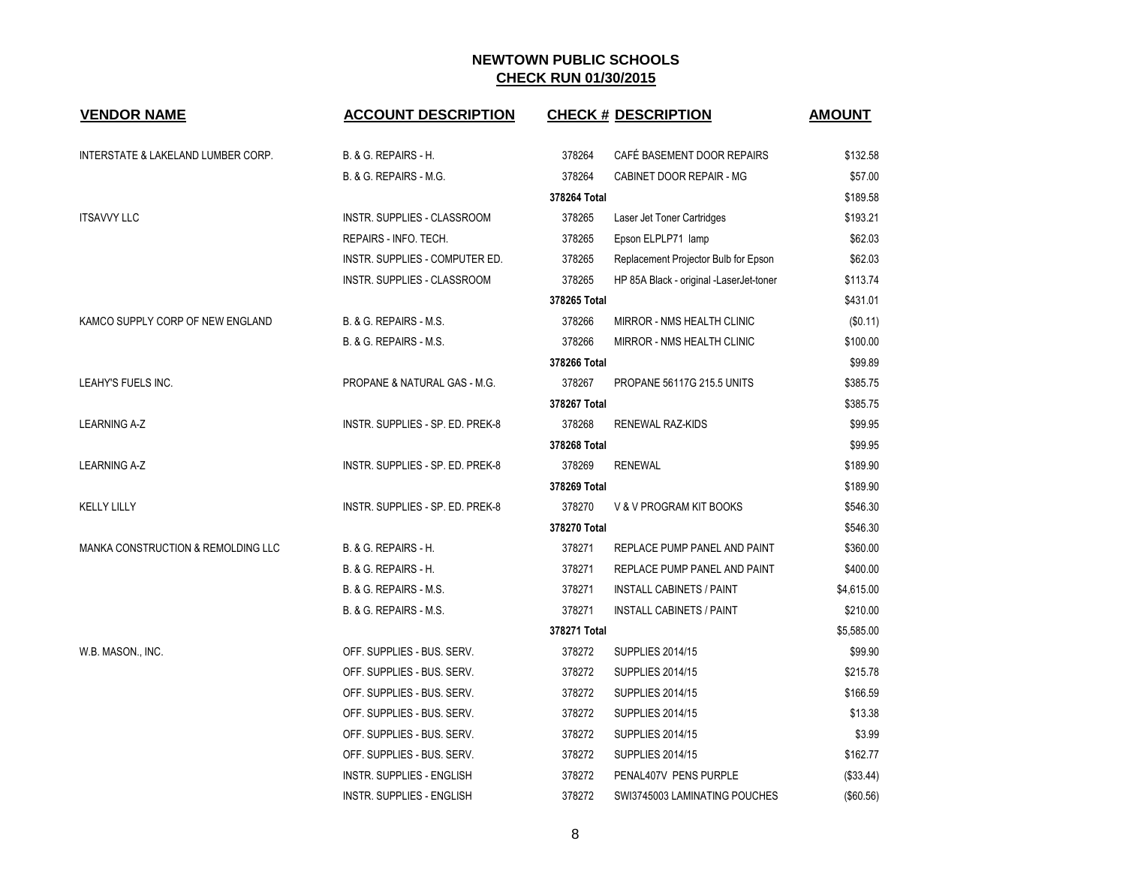| <b>VENDOR NAME</b>                 | <b>ACCOUNT DESCRIPTION</b>       |              | <b>CHECK # DESCRIPTION</b>              | <b>AMOUNT</b> |
|------------------------------------|----------------------------------|--------------|-----------------------------------------|---------------|
| INTERSTATE & LAKELAND LUMBER CORP. | <b>B. &amp; G. REPAIRS - H.</b>  | 378264       | CAFÉ BASEMENT DOOR REPAIRS              | \$132.58      |
|                                    | B. & G. REPAIRS - M.G.           | 378264       | CABINET DOOR REPAIR - MG                | \$57.00       |
|                                    |                                  | 378264 Total |                                         | \$189.58      |
| <b>ITSAVVY LLC</b>                 | INSTR. SUPPLIES - CLASSROOM      | 378265       | Laser Jet Toner Cartridges              | \$193.21      |
|                                    | REPAIRS - INFO. TECH.            | 378265       | Epson ELPLP71 lamp                      | \$62.03       |
|                                    | INSTR. SUPPLIES - COMPUTER ED.   | 378265       | Replacement Projector Bulb for Epson    | \$62.03       |
|                                    | INSTR. SUPPLIES - CLASSROOM      | 378265       | HP 85A Black - original -LaserJet-toner | \$113.74      |
|                                    |                                  | 378265 Total |                                         | \$431.01      |
| KAMCO SUPPLY CORP OF NEW ENGLAND   | B. & G. REPAIRS - M.S.           | 378266       | <b>MIRROR - NMS HEALTH CLINIC</b>       | (\$0.11)      |
|                                    | B. & G. REPAIRS - M.S.           | 378266       | MIRROR - NMS HEALTH CLINIC              | \$100.00      |
|                                    |                                  | 378266 Total |                                         | \$99.89       |
| LEAHY'S FUELS INC.                 | PROPANE & NATURAL GAS - M.G.     | 378267       | PROPANE 56117G 215.5 UNITS              | \$385.75      |
|                                    |                                  | 378267 Total |                                         | \$385.75      |
| <b>LEARNING A-Z</b>                | INSTR. SUPPLIES - SP. ED. PREK-8 | 378268       | <b>RENEWAL RAZ-KIDS</b>                 | \$99.95       |
|                                    |                                  | 378268 Total |                                         | \$99.95       |
| LEARNING A-Z                       | INSTR. SUPPLIES - SP. ED. PREK-8 | 378269       | <b>RENEWAL</b>                          | \$189.90      |
|                                    |                                  | 378269 Total |                                         | \$189.90      |
| <b>KELLY LILLY</b>                 | INSTR. SUPPLIES - SP. ED. PREK-8 | 378270       | V & V PROGRAM KIT BOOKS                 | \$546.30      |
|                                    |                                  | 378270 Total |                                         | \$546.30      |
| MANKA CONSTRUCTION & REMOLDING LLC | B. & G. REPAIRS - H.             | 378271       | REPLACE PUMP PANEL AND PAINT            | \$360.00      |
|                                    | <b>B. &amp; G. REPAIRS - H.</b>  | 378271       | REPLACE PUMP PANEL AND PAINT            | \$400.00      |
|                                    | B. & G. REPAIRS - M.S.           | 378271       | <b>INSTALL CABINETS / PAINT</b>         | \$4,615.00    |
|                                    | B. & G. REPAIRS - M.S.           | 378271       | <b>INSTALL CABINETS / PAINT</b>         | \$210.00      |
|                                    |                                  | 378271 Total |                                         | \$5,585.00    |
| W.B. MASON., INC.                  | OFF. SUPPLIES - BUS. SERV.       | 378272       | <b>SUPPLIES 2014/15</b>                 | \$99.90       |
|                                    | OFF. SUPPLIES - BUS. SERV.       | 378272       | <b>SUPPLIES 2014/15</b>                 | \$215.78      |
|                                    | OFF. SUPPLIES - BUS. SERV.       | 378272       | <b>SUPPLIES 2014/15</b>                 | \$166.59      |
|                                    | OFF. SUPPLIES - BUS. SERV.       | 378272       | <b>SUPPLIES 2014/15</b>                 | \$13.38       |
|                                    | OFF. SUPPLIES - BUS. SERV.       | 378272       | <b>SUPPLIES 2014/15</b>                 | \$3.99        |
|                                    | OFF. SUPPLIES - BUS. SERV.       | 378272       | <b>SUPPLIES 2014/15</b>                 | \$162.77      |
|                                    | INSTR. SUPPLIES - ENGLISH        | 378272       | PENAL407V PENS PURPLE                   | (\$33.44)     |
|                                    | <b>INSTR. SUPPLIES - ENGLISH</b> | 378272       | SWI3745003 LAMINATING POUCHES           | (\$60.56)     |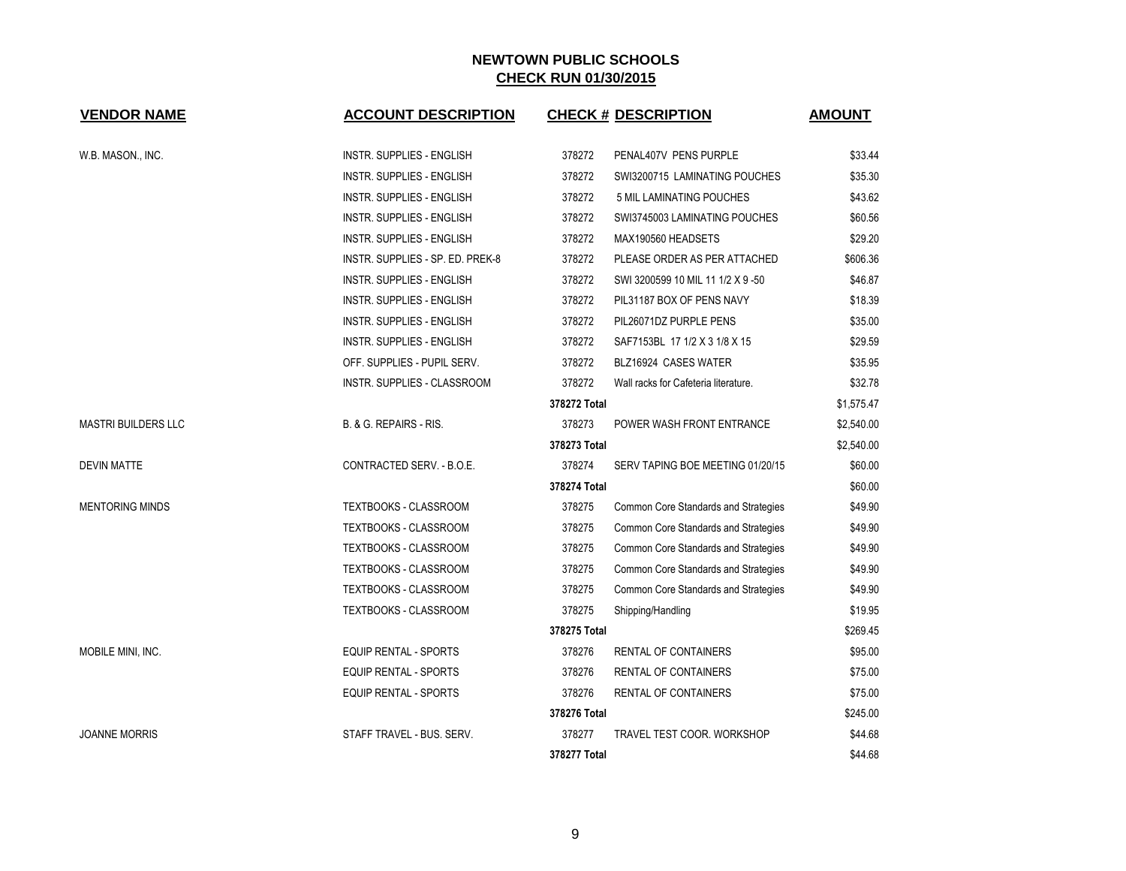| <b>VENDOR NAME</b>         | <b>ACCOUNT DESCRIPTION</b>       |              | <b>CHECK # DESCRIPTION</b>           | <b>AMOUNT</b> |
|----------------------------|----------------------------------|--------------|--------------------------------------|---------------|
| W.B. MASON., INC.          | INSTR. SUPPLIES - ENGLISH        | 378272       | PENAL407V PENS PURPLE                | \$33.44       |
|                            | INSTR. SUPPLIES - ENGLISH        | 378272       | SWI3200715 LAMINATING POUCHES        | \$35.30       |
|                            | INSTR. SUPPLIES - ENGLISH        | 378272       | 5 MIL LAMINATING POUCHES             | \$43.62       |
|                            | INSTR. SUPPLIES - ENGLISH        | 378272       | SWI3745003 LAMINATING POUCHES        | \$60.56       |
|                            | INSTR. SUPPLIES - ENGLISH        | 378272       | MAX190560 HEADSETS                   | \$29.20       |
|                            | INSTR. SUPPLIES - SP. ED. PREK-8 | 378272       | PLEASE ORDER AS PER ATTACHED         | \$606.36      |
|                            | INSTR. SUPPLIES - ENGLISH        | 378272       | SWI 3200599 10 MIL 11 1/2 X 9 -50    | \$46.87       |
|                            | <b>INSTR. SUPPLIES - ENGLISH</b> | 378272       | PIL31187 BOX OF PENS NAVY            | \$18.39       |
|                            | <b>INSTR. SUPPLIES - ENGLISH</b> | 378272       | PIL26071DZ PURPLE PENS               | \$35.00       |
|                            | INSTR. SUPPLIES - ENGLISH        | 378272       | SAF7153BL 17 1/2 X 3 1/8 X 15        | \$29.59       |
|                            | OFF. SUPPLIES - PUPIL SERV.      | 378272       | BLZ16924 CASES WATER                 | \$35.95       |
|                            | INSTR. SUPPLIES - CLASSROOM      | 378272       | Wall racks for Cafeteria literature. | \$32.78       |
|                            |                                  | 378272 Total |                                      | \$1,575.47    |
| <b>MASTRI BUILDERS LLC</b> | B. & G. REPAIRS - RIS.           | 378273       | POWER WASH FRONT ENTRANCE            | \$2,540.00    |
|                            |                                  | 378273 Total |                                      | \$2,540.00    |
| <b>DEVIN MATTE</b>         | CONTRACTED SERV. - B.O.E.        | 378274       | SERV TAPING BOE MEETING 01/20/15     | \$60.00       |
|                            |                                  | 378274 Total |                                      | \$60.00       |
| <b>MENTORING MINDS</b>     | <b>TEXTBOOKS - CLASSROOM</b>     | 378275       | Common Core Standards and Strategies | \$49.90       |
|                            | <b>TEXTBOOKS - CLASSROOM</b>     | 378275       | Common Core Standards and Strategies | \$49.90       |
|                            | TEXTBOOKS - CLASSROOM            | 378275       | Common Core Standards and Strategies | \$49.90       |
|                            | <b>TEXTBOOKS - CLASSROOM</b>     | 378275       | Common Core Standards and Strategies | \$49.90       |
|                            | TEXTBOOKS - CLASSROOM            | 378275       | Common Core Standards and Strategies | \$49.90       |
|                            | TEXTBOOKS - CLASSROOM            | 378275       | Shipping/Handling                    | \$19.95       |
|                            |                                  | 378275 Total |                                      | \$269.45      |
| MOBILE MINI, INC.          | <b>EQUIP RENTAL - SPORTS</b>     | 378276       | RENTAL OF CONTAINERS                 | \$95.00       |
|                            | <b>EQUIP RENTAL - SPORTS</b>     | 378276       | RENTAL OF CONTAINERS                 | \$75.00       |
|                            | EQUIP RENTAL - SPORTS            | 378276       | RENTAL OF CONTAINERS                 | \$75.00       |
|                            |                                  | 378276 Total |                                      | \$245.00      |
| <b>JOANNE MORRIS</b>       | STAFF TRAVEL - BUS. SERV.        | 378277       | TRAVEL TEST COOR. WORKSHOP           | \$44.68       |
|                            |                                  | 378277 Total |                                      | \$44.68       |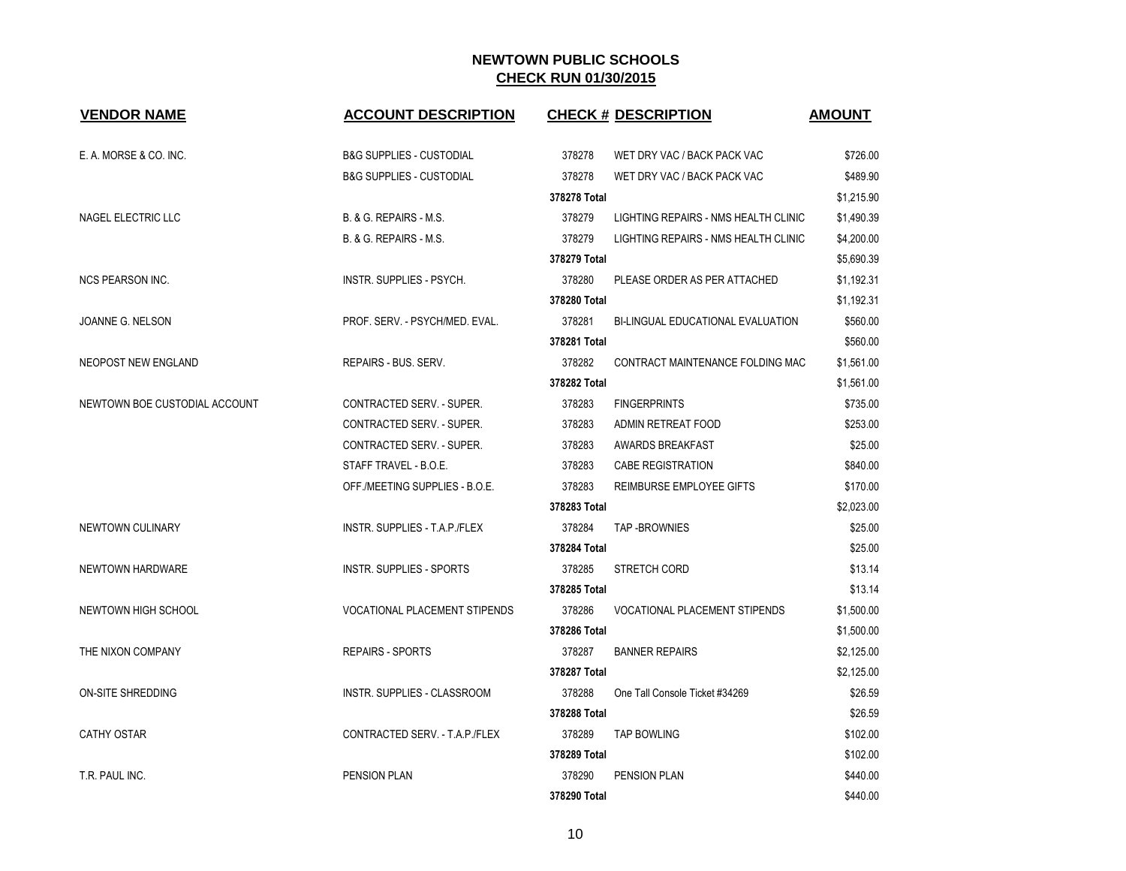| <b>VENDOR NAME</b>            | <b>ACCOUNT DESCRIPTION</b>           |              | <b>CHECK # DESCRIPTION</b>           | <b>AMOUNT</b> |
|-------------------------------|--------------------------------------|--------------|--------------------------------------|---------------|
|                               |                                      |              |                                      |               |
| E. A. MORSE & CO. INC.        | <b>B&amp;G SUPPLIES - CUSTODIAL</b>  | 378278       | WET DRY VAC / BACK PACK VAC          | \$726.00      |
|                               | <b>B&amp;G SUPPLIES - CUSTODIAL</b>  | 378278       | WET DRY VAC / BACK PACK VAC          | \$489.90      |
|                               |                                      | 378278 Total |                                      | \$1,215.90    |
| NAGEL ELECTRIC LLC            | B. & G. REPAIRS - M.S.               | 378279       | LIGHTING REPAIRS - NMS HEALTH CLINIC | \$1,490.39    |
|                               | B. & G. REPAIRS - M.S.               | 378279       | LIGHTING REPAIRS - NMS HEALTH CLINIC | \$4,200.00    |
|                               |                                      | 378279 Total |                                      | \$5,690.39    |
| <b>NCS PEARSON INC.</b>       | INSTR. SUPPLIES - PSYCH.             | 378280       | PLEASE ORDER AS PER ATTACHED         | \$1,192.31    |
|                               |                                      | 378280 Total |                                      | \$1,192.31    |
| JOANNE G. NELSON              | PROF. SERV. - PSYCH/MED. EVAL.       | 378281       | BI-LINGUAL EDUCATIONAL EVALUATION    | \$560.00      |
|                               |                                      | 378281 Total |                                      | \$560.00      |
| NEOPOST NEW ENGLAND           | REPAIRS - BUS. SERV.                 | 378282       | CONTRACT MAINTENANCE FOLDING MAC     | \$1,561.00    |
|                               |                                      | 378282 Total |                                      | \$1,561.00    |
| NEWTOWN BOE CUSTODIAL ACCOUNT | <b>CONTRACTED SERV. - SUPER.</b>     | 378283       | <b>FINGERPRINTS</b>                  | \$735.00      |
|                               | CONTRACTED SERV. - SUPER.            | 378283       | ADMIN RETREAT FOOD                   | \$253.00      |
|                               | CONTRACTED SERV. - SUPER.            | 378283       | AWARDS BREAKFAST                     | \$25.00       |
|                               | STAFF TRAVEL - B.O.E.                | 378283       | <b>CABE REGISTRATION</b>             | \$840.00      |
|                               | OFF./MEETING SUPPLIES - B.O.E.       | 378283       | REIMBURSE EMPLOYEE GIFTS             | \$170.00      |
|                               |                                      | 378283 Total |                                      | \$2,023.00    |
| NEWTOWN CULINARY              | INSTR. SUPPLIES - T.A.P./FLEX        | 378284       | TAP-BROWNIES                         | \$25.00       |
|                               |                                      | 378284 Total |                                      | \$25.00       |
| NEWTOWN HARDWARE              | INSTR. SUPPLIES - SPORTS             | 378285       | STRETCH CORD                         | \$13.14       |
|                               |                                      | 378285 Total |                                      | \$13.14       |
| NEWTOWN HIGH SCHOOL           | <b>VOCATIONAL PLACEMENT STIPENDS</b> | 378286       | <b>VOCATIONAL PLACEMENT STIPENDS</b> | \$1,500.00    |
|                               |                                      | 378286 Total |                                      | \$1,500.00    |
| THE NIXON COMPANY             | <b>REPAIRS - SPORTS</b>              | 378287       | <b>BANNER REPAIRS</b>                | \$2,125.00    |
|                               |                                      | 378287 Total |                                      | \$2,125.00    |
| ON-SITE SHREDDING             | <b>INSTR. SUPPLIES - CLASSROOM</b>   | 378288       | One Tall Console Ticket #34269       | \$26.59       |
|                               |                                      | 378288 Total |                                      | \$26.59       |
| <b>CATHY OSTAR</b>            | CONTRACTED SERV. - T.A.P./FLEX       | 378289       | <b>TAP BOWLING</b>                   | \$102.00      |
|                               |                                      | 378289 Total |                                      | \$102.00      |
| T.R. PAUL INC.                | PENSION PLAN                         | 378290       | <b>PENSION PLAN</b>                  | \$440.00      |
|                               |                                      | 378290 Total |                                      | \$440.00      |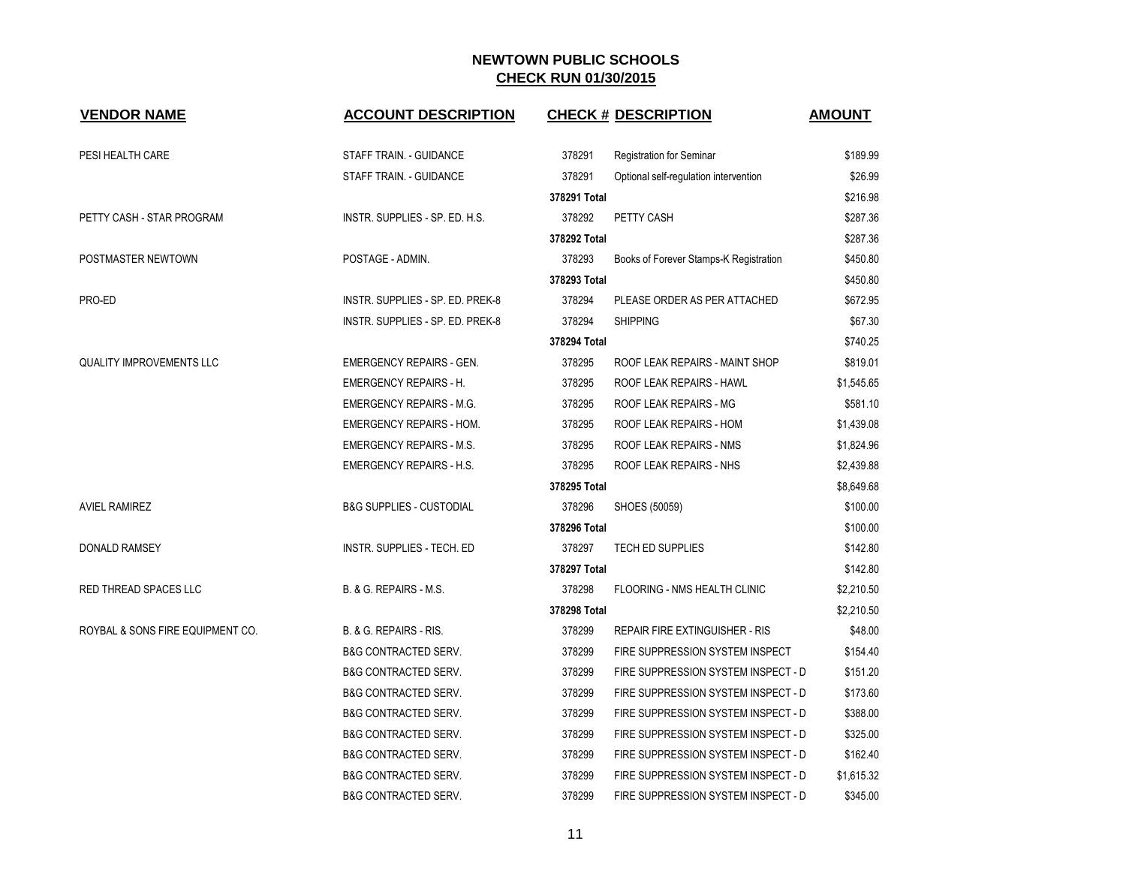| <b>VENDOR NAME</b>               | <b>ACCOUNT DESCRIPTION</b>          |              | <b>CHECK # DESCRIPTION</b>             | <b>AMOUNT</b> |
|----------------------------------|-------------------------------------|--------------|----------------------------------------|---------------|
| PESI HEALTH CARE                 | STAFF TRAIN. - GUIDANCE             | 378291       | <b>Registration for Seminar</b>        | \$189.99      |
|                                  | STAFF TRAIN. - GUIDANCE             | 378291       | Optional self-regulation intervention  | \$26.99       |
|                                  |                                     | 378291 Total |                                        | \$216.98      |
| PETTY CASH - STAR PROGRAM        | INSTR. SUPPLIES - SP. ED. H.S.      | 378292       | PETTY CASH                             | \$287.36      |
|                                  |                                     | 378292 Total |                                        | \$287.36      |
| POSTMASTER NEWTOWN               | POSTAGE - ADMIN.                    | 378293       | Books of Forever Stamps-K Registration | \$450.80      |
|                                  |                                     | 378293 Total |                                        | \$450.80      |
| PRO-ED                           | INSTR. SUPPLIES - SP. ED. PREK-8    | 378294       | PLEASE ORDER AS PER ATTACHED           | \$672.95      |
|                                  | INSTR. SUPPLIES - SP. ED. PREK-8    | 378294       | <b>SHIPPING</b>                        | \$67.30       |
|                                  |                                     | 378294 Total |                                        | \$740.25      |
| <b>QUALITY IMPROVEMENTS LLC</b>  | <b>EMERGENCY REPAIRS - GEN.</b>     | 378295       | ROOF LEAK REPAIRS - MAINT SHOP         | \$819.01      |
|                                  | <b>EMERGENCY REPAIRS - H.</b>       | 378295       | ROOF LEAK REPAIRS - HAWL               | \$1,545.65    |
|                                  | <b>EMERGENCY REPAIRS - M.G.</b>     | 378295       | ROOF LEAK REPAIRS - MG                 | \$581.10      |
|                                  | <b>EMERGENCY REPAIRS - HOM.</b>     | 378295       | ROOF LEAK REPAIRS - HOM                | \$1,439.08    |
|                                  | <b>EMERGENCY REPAIRS - M.S.</b>     | 378295       | ROOF LEAK REPAIRS - NMS                | \$1,824.96    |
|                                  | <b>EMERGENCY REPAIRS - H.S.</b>     | 378295       | ROOF LEAK REPAIRS - NHS                | \$2,439.88    |
|                                  |                                     | 378295 Total |                                        | \$8,649.68    |
| <b>AVIEL RAMIREZ</b>             | <b>B&amp;G SUPPLIES - CUSTODIAL</b> | 378296       | SHOES (50059)                          | \$100.00      |
|                                  |                                     | 378296 Total |                                        | \$100.00      |
| <b>DONALD RAMSEY</b>             | INSTR. SUPPLIES - TECH. ED          | 378297       | <b>TECH ED SUPPLIES</b>                | \$142.80      |
|                                  |                                     | 378297 Total |                                        | \$142.80      |
| RED THREAD SPACES LLC            | B. & G. REPAIRS - M.S.              | 378298       | FLOORING - NMS HEALTH CLINIC           | \$2,210.50    |
|                                  |                                     | 378298 Total |                                        | \$2,210.50    |
| ROYBAL & SONS FIRE EQUIPMENT CO. | B. & G. REPAIRS - RIS.              | 378299       | REPAIR FIRE EXTINGUISHER - RIS         | \$48.00       |
|                                  | <b>B&amp;G CONTRACTED SERV.</b>     | 378299       | FIRE SUPPRESSION SYSTEM INSPECT        | \$154.40      |
|                                  | <b>B&amp;G CONTRACTED SERV.</b>     | 378299       | FIRE SUPPRESSION SYSTEM INSPECT - D    | \$151.20      |
|                                  | <b>B&amp;G CONTRACTED SERV.</b>     | 378299       | FIRE SUPPRESSION SYSTEM INSPECT - D    | \$173.60      |
|                                  | <b>B&amp;G CONTRACTED SERV.</b>     | 378299       | FIRE SUPPRESSION SYSTEM INSPECT - D    | \$388.00      |
|                                  | <b>B&amp;G CONTRACTED SERV.</b>     | 378299       | FIRE SUPPRESSION SYSTEM INSPECT - D    | \$325.00      |
|                                  | <b>B&amp;G CONTRACTED SERV.</b>     | 378299       | FIRE SUPPRESSION SYSTEM INSPECT - D    | \$162.40      |
|                                  | <b>B&amp;G CONTRACTED SERV.</b>     | 378299       | FIRE SUPPRESSION SYSTEM INSPECT - D    | \$1,615.32    |
|                                  | <b>B&amp;G CONTRACTED SERV.</b>     | 378299       | FIRE SUPPRESSION SYSTEM INSPECT - D    | \$345.00      |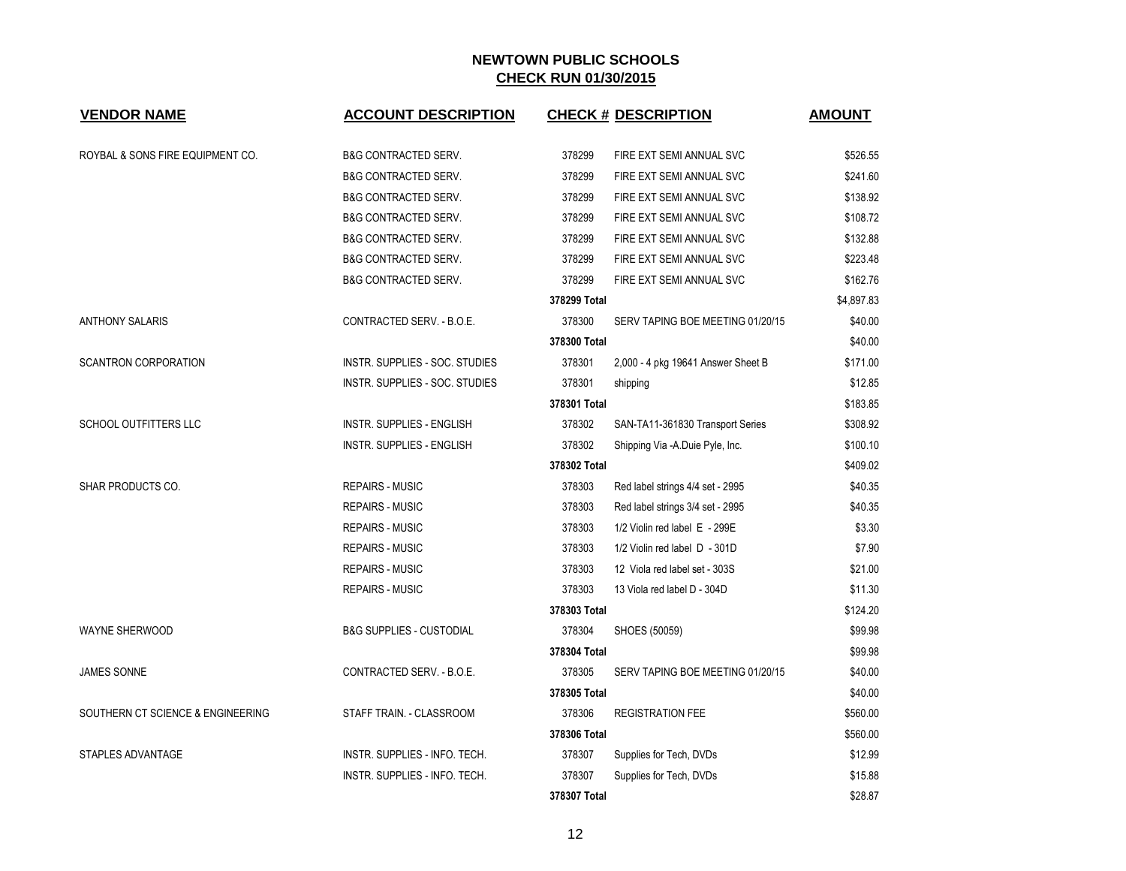| <b>VENDOR NAME</b>                | <b>ACCOUNT DESCRIPTION</b>          |              | <b>CHECK # DESCRIPTION</b>         | <b>AMOUNT</b> |
|-----------------------------------|-------------------------------------|--------------|------------------------------------|---------------|
| ROYBAL & SONS FIRE EQUIPMENT CO.  | <b>B&amp;G CONTRACTED SERV.</b>     | 378299       | FIRE EXT SEMI ANNUAL SVC           | \$526.55      |
|                                   | <b>B&amp;G CONTRACTED SERV.</b>     | 378299       | FIRE EXT SEMI ANNUAL SVC           | \$241.60      |
|                                   | <b>B&amp;G CONTRACTED SERV.</b>     | 378299       | FIRE EXT SEMI ANNUAL SVC           | \$138.92      |
|                                   | <b>B&amp;G CONTRACTED SERV.</b>     | 378299       | FIRE EXT SEMI ANNUAL SVC           | \$108.72      |
|                                   | <b>B&amp;G CONTRACTED SERV.</b>     | 378299       | FIRE EXT SEMI ANNUAL SVC           | \$132.88      |
|                                   | <b>B&amp;G CONTRACTED SERV.</b>     | 378299       | FIRE EXT SEMI ANNUAL SVC           | \$223.48      |
|                                   | <b>B&amp;G CONTRACTED SERV.</b>     | 378299       | FIRE EXT SEMI ANNUAL SVC           | \$162.76      |
|                                   |                                     | 378299 Total |                                    | \$4,897.83    |
| <b>ANTHONY SALARIS</b>            | CONTRACTED SERV. - B.O.E.           | 378300       | SERV TAPING BOE MEETING 01/20/15   | \$40.00       |
|                                   |                                     | 378300 Total |                                    | \$40.00       |
| <b>SCANTRON CORPORATION</b>       | INSTR. SUPPLIES - SOC. STUDIES      | 378301       | 2,000 - 4 pkg 19641 Answer Sheet B | \$171.00      |
|                                   | INSTR. SUPPLIES - SOC. STUDIES      | 378301       | shipping                           | \$12.85       |
|                                   |                                     | 378301 Total |                                    | \$183.85      |
| SCHOOL OUTFITTERS LLC             | <b>INSTR. SUPPLIES - ENGLISH</b>    | 378302       | SAN-TA11-361830 Transport Series   | \$308.92      |
|                                   | <b>INSTR. SUPPLIES - ENGLISH</b>    | 378302       | Shipping Via -A.Duie Pyle, Inc.    | \$100.10      |
|                                   |                                     | 378302 Total |                                    | \$409.02      |
| SHAR PRODUCTS CO.                 | <b>REPAIRS - MUSIC</b>              | 378303       | Red label strings 4/4 set - 2995   | \$40.35       |
|                                   | <b>REPAIRS - MUSIC</b>              | 378303       | Red label strings 3/4 set - 2995   | \$40.35       |
|                                   | <b>REPAIRS - MUSIC</b>              | 378303       | 1/2 Violin red label E - 299E      | \$3.30        |
|                                   | <b>REPAIRS - MUSIC</b>              | 378303       | 1/2 Violin red label D - 301D      | \$7.90        |
|                                   | <b>REPAIRS - MUSIC</b>              | 378303       | 12 Viola red label set - 303S      | \$21.00       |
|                                   | <b>REPAIRS - MUSIC</b>              | 378303       | 13 Viola red label D - 304D        | \$11.30       |
|                                   |                                     | 378303 Total |                                    | \$124.20      |
| <b>WAYNE SHERWOOD</b>             | <b>B&amp;G SUPPLIES - CUSTODIAL</b> | 378304       | SHOES (50059)                      | \$99.98       |
|                                   |                                     | 378304 Total |                                    | \$99.98       |
| <b>JAMES SONNE</b>                | CONTRACTED SERV. - B.O.E.           | 378305       | SERV TAPING BOE MEETING 01/20/15   | \$40.00       |
|                                   |                                     | 378305 Total |                                    | \$40.00       |
| SOUTHERN CT SCIENCE & ENGINEERING | STAFF TRAIN. - CLASSROOM            | 378306       | <b>REGISTRATION FEE</b>            | \$560.00      |
|                                   |                                     | 378306 Total |                                    | \$560.00      |
| STAPLES ADVANTAGE                 | INSTR. SUPPLIES - INFO. TECH.       | 378307       | Supplies for Tech, DVDs            | \$12.99       |
|                                   | INSTR. SUPPLIES - INFO. TECH.       | 378307       | Supplies for Tech, DVDs            | \$15.88       |
|                                   |                                     | 378307 Total |                                    | \$28.87       |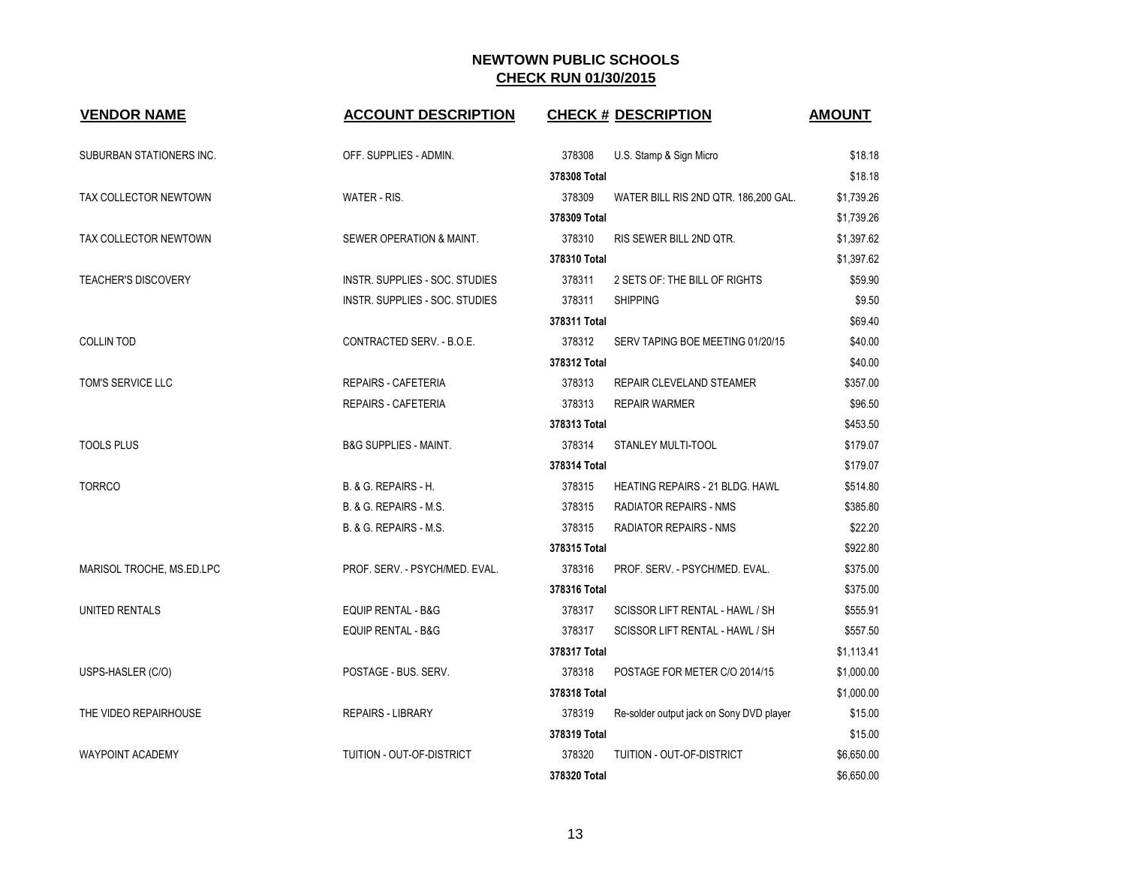| <b>VENDOR NAME</b>         | <b>ACCOUNT DESCRIPTION</b>       |              | <b>CHECK # DESCRIPTION</b>               | <b>AMOUNT</b> |
|----------------------------|----------------------------------|--------------|------------------------------------------|---------------|
| SUBURBAN STATIONERS INC.   | OFF. SUPPLIES - ADMIN.           | 378308       | U.S. Stamp & Sign Micro                  | \$18.18       |
|                            |                                  | 378308 Total |                                          | \$18.18       |
| TAX COLLECTOR NEWTOWN      | WATER - RIS.                     | 378309       | WATER BILL RIS 2ND QTR. 186,200 GAL.     | \$1,739.26    |
|                            |                                  | 378309 Total |                                          | \$1,739.26    |
| TAX COLLECTOR NEWTOWN      | SEWER OPERATION & MAINT.         | 378310       | RIS SEWER BILL 2ND QTR.                  | \$1,397.62    |
|                            |                                  | 378310 Total |                                          | \$1,397.62    |
| <b>TEACHER'S DISCOVERY</b> | INSTR. SUPPLIES - SOC. STUDIES   | 378311       | 2 SETS OF: THE BILL OF RIGHTS            | \$59.90       |
|                            | INSTR. SUPPLIES - SOC. STUDIES   | 378311       | <b>SHIPPING</b>                          | \$9.50        |
|                            |                                  | 378311 Total |                                          | \$69.40       |
| <b>COLLIN TOD</b>          | CONTRACTED SERV. - B.O.E.        | 378312       | SERV TAPING BOE MEETING 01/20/15         | \$40.00       |
|                            |                                  | 378312 Total |                                          | \$40.00       |
| TOM'S SERVICE LLC          | <b>REPAIRS - CAFETERIA</b>       | 378313       | REPAIR CLEVELAND STEAMER                 | \$357.00      |
|                            | <b>REPAIRS - CAFETERIA</b>       | 378313       | <b>REPAIR WARMER</b>                     | \$96.50       |
|                            |                                  | 378313 Total |                                          | \$453.50      |
| <b>TOOLS PLUS</b>          | <b>B&amp;G SUPPLIES - MAINT.</b> | 378314       | <b>STANLEY MULTI-TOOL</b>                | \$179.07      |
|                            |                                  | 378314 Total |                                          | \$179.07      |
| <b>TORRCO</b>              | <b>B. &amp; G. REPAIRS - H.</b>  | 378315       | <b>HEATING REPAIRS - 21 BLDG. HAWL</b>   | \$514.80      |
|                            | B. & G. REPAIRS - M.S.           | 378315       | <b>RADIATOR REPAIRS - NMS</b>            | \$385.80      |
|                            | B. & G. REPAIRS - M.S.           | 378315       | <b>RADIATOR REPAIRS - NMS</b>            | \$22.20       |
|                            |                                  | 378315 Total |                                          | \$922.80      |
| MARISOL TROCHE, MS.ED.LPC  | PROF. SERV. - PSYCH/MED. EVAL.   | 378316       | PROF. SERV. - PSYCH/MED. EVAL.           | \$375.00      |
|                            |                                  | 378316 Total |                                          | \$375.00      |
| UNITED RENTALS             | <b>EQUIP RENTAL - B&amp;G</b>    | 378317       | SCISSOR LIFT RENTAL - HAWL / SH          | \$555.91      |
|                            | <b>EQUIP RENTAL - B&amp;G</b>    | 378317       | SCISSOR LIFT RENTAL - HAWL / SH          | \$557.50      |
|                            |                                  | 378317 Total |                                          | \$1,113.41    |
| USPS-HASLER (C/O)          | POSTAGE - BUS. SERV.             | 378318       | POSTAGE FOR METER C/O 2014/15            | \$1,000.00    |
|                            |                                  | 378318 Total |                                          | \$1,000.00    |
| THE VIDEO REPAIRHOUSE      | <b>REPAIRS - LIBRARY</b>         | 378319       | Re-solder output jack on Sony DVD player | \$15.00       |
|                            |                                  | 378319 Total |                                          | \$15.00       |
| <b>WAYPOINT ACADEMY</b>    | TUITION - OUT-OF-DISTRICT        | 378320       | TUITION - OUT-OF-DISTRICT                | \$6,650.00    |
|                            |                                  | 378320 Total |                                          | \$6,650.00    |